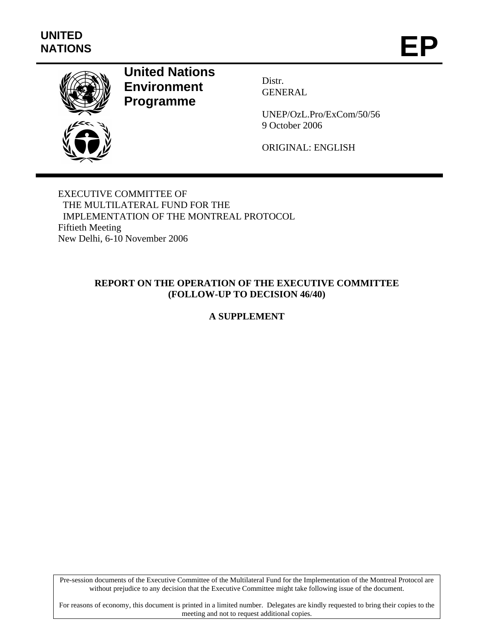

# **United Nations Environment Programme**

Distr. GENERAL

UNEP/OzL.Pro/ExCom/50/56 9 October 2006

ORIGINAL: ENGLISH

EXECUTIVE COMMITTEE OF THE MULTILATERAL FUND FOR THE IMPLEMENTATION OF THE MONTREAL PROTOCOL Fiftieth Meeting New Delhi, 6-10 November 2006

## **REPORT ON THE OPERATION OF THE EXECUTIVE COMMITTEE (FOLLOW-UP TO DECISION 46/40)**

# **A SUPPLEMENT**

Pre-session documents of the Executive Committee of the Multilateral Fund for the Implementation of the Montreal Protocol are without prejudice to any decision that the Executive Committee might take following issue of the document.

For reasons of economy, this document is printed in a limited number. Delegates are kindly requested to bring their copies to the meeting and not to request additional copies.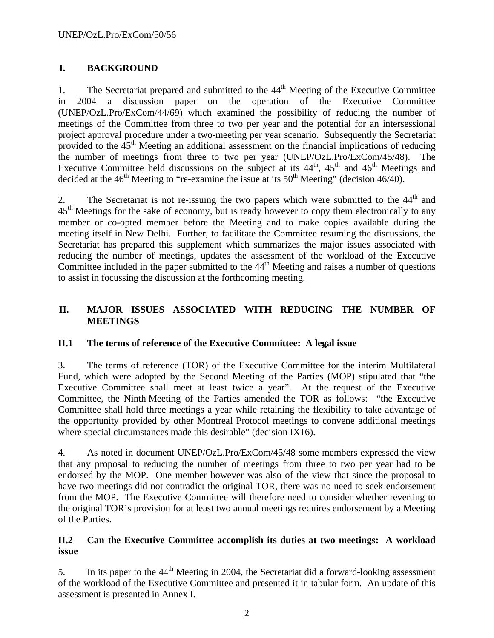## **I. BACKGROUND**

1. The Secretariat prepared and submitted to the 44<sup>th</sup> Meeting of the Executive Committee in 2004 a discussion paper on the operation of the Executive Committee (UNEP/OzL.Pro/ExCom/44/69) which examined the possibility of reducing the number of meetings of the Committee from three to two per year and the potential for an intersessional project approval procedure under a two-meeting per year scenario. Subsequently the Secretariat provided to the  $45<sup>th</sup>$  Meeting an additional assessment on the financial implications of reducing the number of meetings from three to two per year (UNEP/OzL.Pro/ExCom/45/48). The Executive Committee held discussions on the subject at its  $44<sup>th</sup>$ ,  $45<sup>th</sup>$  and  $46<sup>th</sup>$  Meetings and decided at the  $46<sup>th</sup>$  Meeting to "re-examine the issue at its  $50<sup>th</sup>$  Meeting" (decision 46/40).

2. The Secretariat is not re-issuing the two papers which were submitted to the  $44<sup>th</sup>$  and  $45<sup>th</sup>$  Meetings for the sake of economy, but is ready however to copy them electronically to any member or co-opted member before the Meeting and to make copies available during the meeting itself in New Delhi. Further, to facilitate the Committee resuming the discussions, the Secretariat has prepared this supplement which summarizes the major issues associated with reducing the number of meetings, updates the assessment of the workload of the Executive Committee included in the paper submitted to the  $44<sup>th</sup>$  Meeting and raises a number of questions to assist in focussing the discussion at the forthcoming meeting.

## **II. MAJOR ISSUES ASSOCIATED WITH REDUCING THE NUMBER OF MEETINGS**

## **II.1 The terms of reference of the Executive Committee: A legal issue**

3. The terms of reference (TOR) of the Executive Committee for the interim Multilateral Fund, which were adopted by the Second Meeting of the Parties (MOP) stipulated that "the Executive Committee shall meet at least twice a year". At the request of the Executive Committee, the Ninth Meeting of the Parties amended the TOR as follows: "the Executive Committee shall hold three meetings a year while retaining the flexibility to take advantage of the opportunity provided by other Montreal Protocol meetings to convene additional meetings where special circumstances made this desirable" (decision IX16).

4. As noted in document UNEP/OzL.Pro/ExCom/45/48 some members expressed the view that any proposal to reducing the number of meetings from three to two per year had to be endorsed by the MOP. One member however was also of the view that since the proposal to have two meetings did not contradict the original TOR, there was no need to seek endorsement from the MOP. The Executive Committee will therefore need to consider whether reverting to the original TOR's provision for at least two annual meetings requires endorsement by a Meeting of the Parties.

#### **II.2 Can the Executive Committee accomplish its duties at two meetings: A workload issue**

5. In its paper to the  $44<sup>th</sup>$  Meeting in 2004, the Secretariat did a forward-looking assessment of the workload of the Executive Committee and presented it in tabular form. An update of this assessment is presented in Annex I.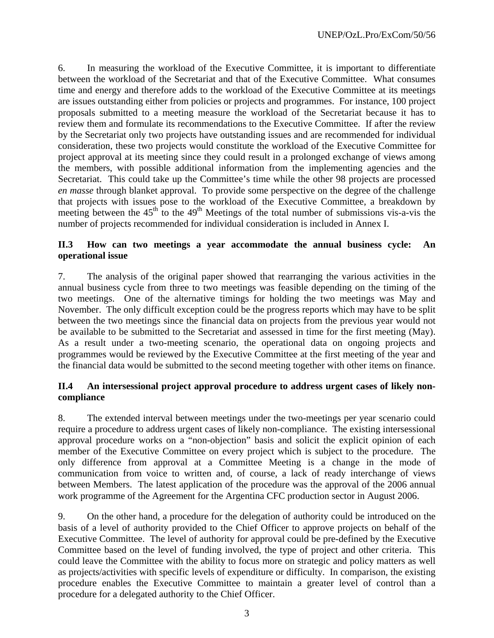6. In measuring the workload of the Executive Committee, it is important to differentiate between the workload of the Secretariat and that of the Executive Committee. What consumes time and energy and therefore adds to the workload of the Executive Committee at its meetings are issues outstanding either from policies or projects and programmes. For instance, 100 project proposals submitted to a meeting measure the workload of the Secretariat because it has to review them and formulate its recommendations to the Executive Committee. If after the review by the Secretariat only two projects have outstanding issues and are recommended for individual consideration, these two projects would constitute the workload of the Executive Committee for project approval at its meeting since they could result in a prolonged exchange of views among the members, with possible additional information from the implementing agencies and the Secretariat. This could take up the Committee's time while the other 98 projects are processed *en masse* through blanket approval. To provide some perspective on the degree of the challenge that projects with issues pose to the workload of the Executive Committee, a breakdown by meeting between the  $45<sup>th</sup>$  to the  $49<sup>th</sup>$  Meetings of the total number of submissions vis-a-vis the number of projects recommended for individual consideration is included in Annex I.

#### **II.3 How can two meetings a year accommodate the annual business cycle: An operational issue**

7. The analysis of the original paper showed that rearranging the various activities in the annual business cycle from three to two meetings was feasible depending on the timing of the two meetings. One of the alternative timings for holding the two meetings was May and November. The only difficult exception could be the progress reports which may have to be split between the two meetings since the financial data on projects from the previous year would not be available to be submitted to the Secretariat and assessed in time for the first meeting (May). As a result under a two-meeting scenario, the operational data on ongoing projects and programmes would be reviewed by the Executive Committee at the first meeting of the year and the financial data would be submitted to the second meeting together with other items on finance.

#### **II.4 An intersessional project approval procedure to address urgent cases of likely noncompliance**

8. The extended interval between meetings under the two-meetings per year scenario could require a procedure to address urgent cases of likely non-compliance. The existing intersessional approval procedure works on a "non-objection" basis and solicit the explicit opinion of each member of the Executive Committee on every project which is subject to the procedure. The only difference from approval at a Committee Meeting is a change in the mode of communication from voice to written and, of course, a lack of ready interchange of views between Members. The latest application of the procedure was the approval of the 2006 annual work programme of the Agreement for the Argentina CFC production sector in August 2006.

9. On the other hand, a procedure for the delegation of authority could be introduced on the basis of a level of authority provided to the Chief Officer to approve projects on behalf of the Executive Committee. The level of authority for approval could be pre-defined by the Executive Committee based on the level of funding involved, the type of project and other criteria. This could leave the Committee with the ability to focus more on strategic and policy matters as well as projects/activities with specific levels of expenditure or difficulty. In comparison, the existing procedure enables the Executive Committee to maintain a greater level of control than a procedure for a delegated authority to the Chief Officer.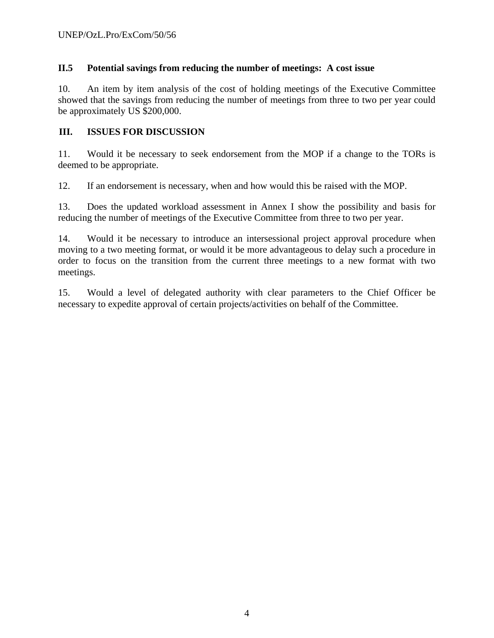## **II.5 Potential savings from reducing the number of meetings: A cost issue**

10. An item by item analysis of the cost of holding meetings of the Executive Committee showed that the savings from reducing the number of meetings from three to two per year could be approximately US \$200,000.

## **III. ISSUES FOR DISCUSSION**

11. Would it be necessary to seek endorsement from the MOP if a change to the TORs is deemed to be appropriate.

12. If an endorsement is necessary, when and how would this be raised with the MOP.

13. Does the updated workload assessment in Annex I show the possibility and basis for reducing the number of meetings of the Executive Committee from three to two per year.

14. Would it be necessary to introduce an intersessional project approval procedure when moving to a two meeting format, or would it be more advantageous to delay such a procedure in order to focus on the transition from the current three meetings to a new format with two meetings.

15. Would a level of delegated authority with clear parameters to the Chief Officer be necessary to expedite approval of certain projects/activities on behalf of the Committee.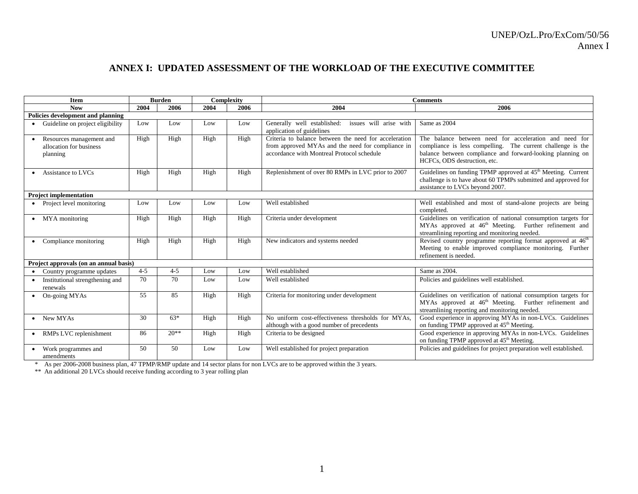## **ANNEX I: UPDATED ASSESSMENT OF THE WORKLOAD OF THE EXECUTIVE COMMITTEE**

|                                        | <b>Item</b>                                                     |         | <b>Burden</b> |      | Complexity | <b>Comments</b>                                                                                                                                          |                                                                                                                                                                                                                     |
|----------------------------------------|-----------------------------------------------------------------|---------|---------------|------|------------|----------------------------------------------------------------------------------------------------------------------------------------------------------|---------------------------------------------------------------------------------------------------------------------------------------------------------------------------------------------------------------------|
|                                        | <b>Now</b>                                                      | 2004    | 2006          | 2004 | 2006       | 2004                                                                                                                                                     | 2006                                                                                                                                                                                                                |
| Policies development and planning      |                                                                 |         |               |      |            |                                                                                                                                                          |                                                                                                                                                                                                                     |
|                                        | Guideline on project eligibility                                | Low     | Low           | Low  | Low        | issues will arise with<br>Generally well established:<br>application of guidelines                                                                       | Same as 2004                                                                                                                                                                                                        |
|                                        | Resources management and<br>allocation for business<br>planning | High    | High          | High | High       | Criteria to balance between the need for acceleration<br>from approved MYAs and the need for compliance in<br>accordance with Montreal Protocol schedule | The balance between need for acceleration and need for<br>compliance is less compelling. The current challenge is the<br>balance between compliance and forward-looking planning on<br>HCFCs, ODS destruction, etc. |
|                                        | Assistance to LVCs                                              | High    | High          | High | High       | Replenishment of over 80 RMPs in LVC prior to 2007                                                                                                       | Guidelines on funding TPMP approved at 45 <sup>th</sup> Meeting. Current<br>challenge is to have about 60 TPMPs submitted and approved for<br>assistance to LVCs beyond 2007.                                       |
|                                        | <b>Project implementation</b>                                   |         |               |      |            |                                                                                                                                                          |                                                                                                                                                                                                                     |
|                                        | Project level monitoring                                        | Low     | Low           | Low  | Low        | Well established                                                                                                                                         | Well established and most of stand-alone projects are being<br>completed.                                                                                                                                           |
|                                        | MYA monitoring                                                  | High    | High          | High | High       | Criteria under development                                                                                                                               | Guidelines on verification of national consumption targets for<br>MYAs approved at 46 <sup>th</sup> Meeting. Further refinement and<br>streamlining reporting and monitoring needed.                                |
|                                        | Compliance monitoring                                           | High    | High          | High | High       | New indicators and systems needed                                                                                                                        | Revised country programme reporting format approved at 46 <sup>th</sup><br>Meeting to enable improved compliance monitoring. Further<br>refinement is needed.                                                       |
| Project approvals (on an annual basis) |                                                                 |         |               |      |            |                                                                                                                                                          |                                                                                                                                                                                                                     |
|                                        | Country programme updates                                       | $4 - 5$ | $4 - 5$       | Low  | Low        | Well established                                                                                                                                         | Same as 2004.                                                                                                                                                                                                       |
|                                        | Institutional strengthening and<br>renewals                     | 70      | 70            | Low  | Low        | Well established                                                                                                                                         | Policies and guidelines well established.                                                                                                                                                                           |
|                                        | On-going MYAs                                                   | 55      | 85            | High | High       | Criteria for monitoring under development                                                                                                                | Guidelines on verification of national consumption targets for<br>MYAs approved at 46 <sup>th</sup> Meeting. Further refinement and<br>streamlining reporting and monitoring needed.                                |
|                                        | New MYAs                                                        | 30      | $63*$         | High | High       | No uniform cost-effectiveness thresholds for MYAs.<br>although with a good number of precedents                                                          | Good experience in approving MYAs in non-LVCs. Guidelines<br>on funding TPMP approved at 45 <sup>th</sup> Meeting.                                                                                                  |
|                                        | RMPs LVC replenishment                                          | 86      | $20**$        | High | High       | Criteria to be designed                                                                                                                                  | Good experience in approving MYAs in non-LVCs. Guidelines<br>on funding TPMP approved at 45 <sup>th</sup> Meeting.                                                                                                  |
|                                        | Work programmes and<br>amendments                               | 50      | 50            | Low  | Low        | Well established for project preparation                                                                                                                 | Policies and guidelines for project preparation well established.                                                                                                                                                   |

amendments<br>
\* As per 2006-2008 business plan, 47 TPMP/RMP update and 14 sector plans for non LVCs are to be approved within the 3 years.

\*\* An additional 20 LVCs should receive funding according to 3 year rolling plan